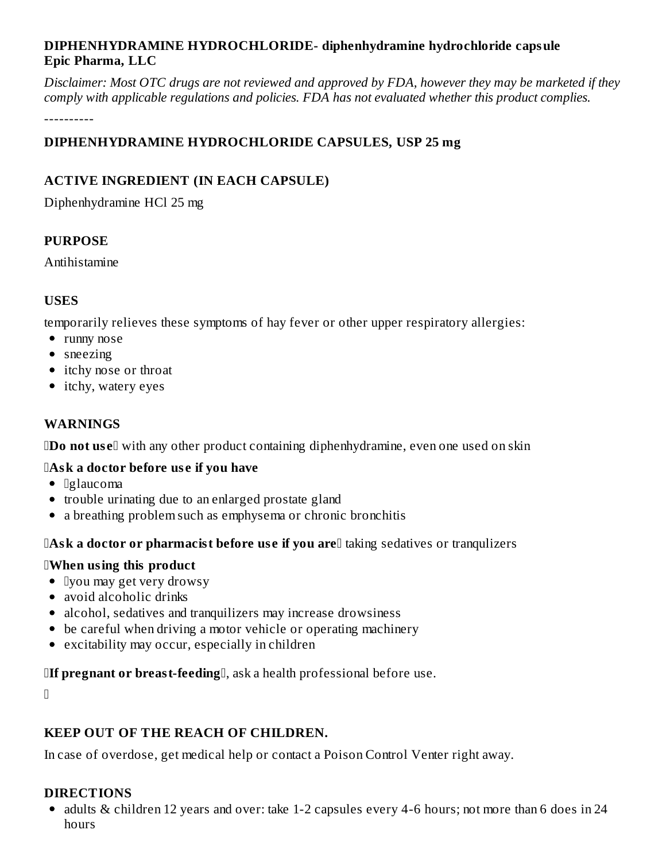# **DIPHENHYDRAMINE HYDROCHLORIDE- diphenhydramine hydrochloride capsule Epic Pharma, LLC**

Disclaimer: Most OTC drugs are not reviewed and approved by FDA, however they may be marketed if they *comply with applicable regulations and policies. FDA has not evaluated whether this product complies.*

----------

# **DIPHENHYDRAMINE HYDROCHLORIDE CAPSULES, USP 25 mg**

# **ACTIVE INGREDIENT (IN EACH CAPSULE)**

Diphenhydramine HCl 25 mg

# **PURPOSE**

Antihistamine

#### **USES**

temporarily relieves these symptoms of hay fever or other upper respiratory allergies:

- runny nose
- sneezing
- itchy nose or throat
- itchy, watery eyes

#### **WARNINGS**

**Do** not use with any other product containing diphenhydramine, even one used on skin

#### **Ask a doctor before us e if you have**

- Iglaucoma
- trouble urinating due to an enlarged prostate gland
- a breathing problem such as emphysema or chronic bronchitis

# **Ask a doctor or pharmacist before us e if you are** taking sedatives or tranqulizers

#### **When using this product**

- Iyou may get very drowsy
- avoid alcoholic drinks
- alcohol, sedatives and tranquilizers may increase drowsiness
- be careful when driving a motor vehicle or operating machinery
- excitability may occur, especially in children

**If pregnant or breast-feeding**, ask a health professional before use.

 $\overline{\Pi}$ 

# **KEEP OUT OF THE REACH OF CHILDREN.**

In case of overdose, get medical help or contact a Poison Control Venter right away.

# **DIRECTIONS**

• adults & children 12 years and over: take 1-2 capsules every 4-6 hours; not more than 6 does in 24 hours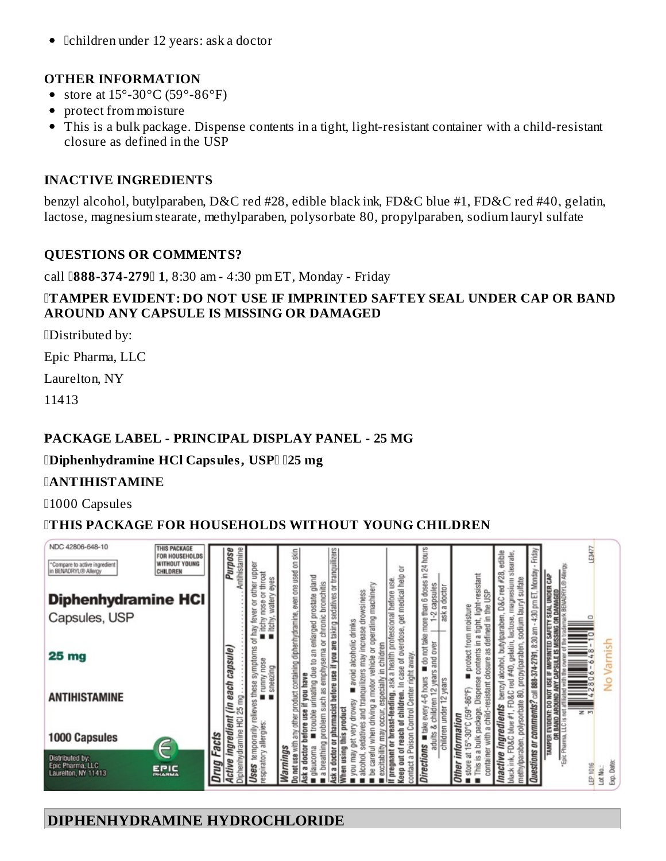• **Ochildren under 12 years: ask a doctor** 

#### **OTHER INFORMATION**

- store at  $15^{\circ}$ -30 $^{\circ}$ C (59 $^{\circ}$ -86 $^{\circ}$ F)
- protect from moisture
- This is a bulk package. Dispense contents in a tight, light-resistant container with a child-resistant closure as defined in the USP

# **INACTIVE INGREDIENTS**

benzyl alcohol, butylparaben, D&C red #28, edible black ink, FD&C blue #1, FD&C red #40, gelatin, lactose, magnesium stearate, methylparaben, polysorbate 80, propylparaben, sodium lauryl sulfate

#### **QUESTIONS OR COMMENTS?**

call **888-374-279 1**, 8:30 am - 4:30 pm ET, Monday - Friday

#### **TAMPER EVIDENT: DO NOT USE IF IMPRINTED SAFTEY SEAL UNDER CAP OR BAND AROUND ANY CAPSULE IS MISSING OR DAMAGED**

Distributed by:

Epic Pharma, LLC

Laurelton, NY

11413

# **PACKAGE LABEL - PRINCIPAL DISPLAY PANEL - 25 MG**

# **Diphenhydramine HCl Capsules, USP 25 mg**

# **ANTIHISTAMINE**

1000 Capsules

# **THIS PACKAGE FOR HOUSEHOLDS WITHOUT YOUNG CHILDREN**

| NDC 42806-648-10<br>THIS PACKAGE<br>FOR HOUSEHOLDS<br>WITHOUT YOUNG<br>*Compare to active ingredient<br>in BENADRYL® Allergy<br>CHILDREN | LE3477<br>Antihistamine<br>Purpase<br>hours<br>Friday<br>edible<br>magnesium stearate<br>other upper<br><b>B Allergy</b><br>in 24<br>능<br>Monday<br>throat<br>#28.<br><b>DER CAP</b><br>gland<br>eyes                                                                                                                                                                                                                                                                                                                                                                                                                                                                                                                                                                                                                |  |
|------------------------------------------------------------------------------------------------------------------------------------------|----------------------------------------------------------------------------------------------------------------------------------------------------------------------------------------------------------------------------------------------------------------------------------------------------------------------------------------------------------------------------------------------------------------------------------------------------------------------------------------------------------------------------------------------------------------------------------------------------------------------------------------------------------------------------------------------------------------------------------------------------------------------------------------------------------------------|--|
| <b>Diphenhydramine HCI</b>                                                                                                               | get medical help<br>sodium lauryl sulfate<br>more than 6 doses<br>1-2 capsules<br>a doctor<br>D&C red<br><b>DAMAGED</b><br>* BENADBYT<br>능<br>watery<br>능<br>nose                                                                                                                                                                                                                                                                                                                                                                                                                                                                                                                                                                                                                                                    |  |
| Capsules, USP                                                                                                                            | 8:30 am - 4:30 pm ET,<br>defined in the US<br><b>NTED SAFETY SEAL</b><br>fever<br>ask<br>butylparaben,<br>lactuse,<br>g<br>itchy<br>itchy.<br>hay                                                                                                                                                                                                                                                                                                                                                                                                                                                                                                                                                                                                                                                                    |  |
| 25 <sub>mg</sub>                                                                                                                         | Ask a doctor or pharmacist before use if you are taking sedatives or tranquilizers<br>Do not use with any other product containing diphenhydramine, even one used on skin<br>is a bulk package. Dispense contents in a tight, light-resistant<br>pregnant or breast-feeding, ask a health professional before use<br>problem such as emphysema or chronic bronchitis<br>be careful when driving a motor vehicle or operating machinery<br>may increase drowsiness<br>trouble urinating due to an enlarged prostate<br>protect from moisture<br>avoid alcoholic drinks<br>In case of overdose,<br>to not take<br>৳<br>FD&C blue #1, FD&C red #40, gelatin,<br>/arnish<br>over<br>especially in children<br>propylparaben,<br>symptoms<br>capsule<br><b>APSULE</b><br>benzyl alcohol,<br>and<br>nose<br>sneezing<br>u, |  |
| <b>ANTIHISTAMINE</b>                                                                                                                     | container with a child-resistant closure as<br>Questions or comments? call 888-374-2791.<br>Poison Control Center right away.<br>sedatives and tranquilizers<br>12 years<br>Ask a doctor before use if you have<br>runny<br>atake every 4-6 hours<br>$\frac{1}{2}$<br><b>NOT USE</b><br>12 years<br>each<br>relieves these<br>at 15°-30°C (59°-86°F)<br>polysorbate 80<br><b>AROUND</b><br>25 mg<br>children<br>ί'n<br>under<br>occur,<br>zΜ                                                                                                                                                                                                                                                                                                                                                                         |  |
| <b>1000 Capsules</b>                                                                                                                     | TAMPER EVIDENT: DO<br>ingredients<br>information<br>ingredient<br>BAND<br>adults &<br>temporarily<br>children<br>Facts<br>똥                                                                                                                                                                                                                                                                                                                                                                                                                                                                                                                                                                                                                                                                                          |  |
| Distributed by:<br>Epic Pharma, LLC<br>Laurelton, NY 11413<br>EPIC<br>PHARMA                                                             | Keep out of reach of children.<br>you may get very drowsy<br>When using this product<br>Diphenhydramine HCI<br>respiratory allergies:<br>excitability may<br>Epic Pharma,<br>methylparaben,<br>a breathing<br><b>Directions</b><br>Warnings<br>glaucoma<br>alcohol,<br>Inactive<br>contact a<br>black ink,<br>Active<br>Exp. Date:<br>store<br><b>Other</b><br>Drug<br>This<br>Uses<br>LEP 1016<br>Lot No.:                                                                                                                                                                                                                                                                                                                                                                                                          |  |

# **DIPHENHYDRAMINE HYDROCHLORIDE**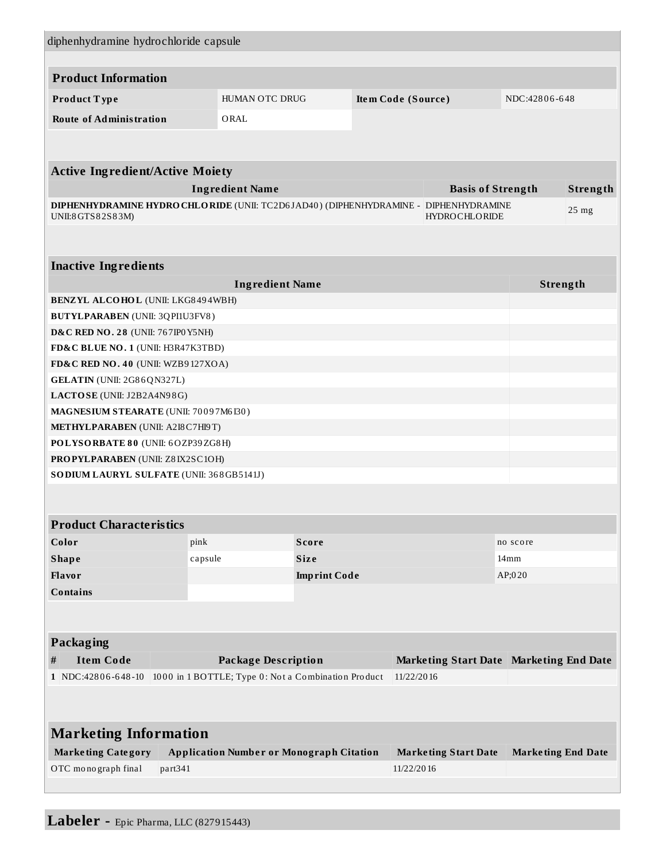| diphenhydramine hydrochloride capsule                                                                       |                                                     |                     |                    |                                          |                           |          |  |  |  |
|-------------------------------------------------------------------------------------------------------------|-----------------------------------------------------|---------------------|--------------------|------------------------------------------|---------------------------|----------|--|--|--|
| <b>Product Information</b>                                                                                  |                                                     |                     |                    |                                          |                           |          |  |  |  |
|                                                                                                             |                                                     |                     |                    |                                          |                           |          |  |  |  |
| Product Type                                                                                                | HUMAN OTC DRUG                                      |                     | Item Code (Source) |                                          | NDC:42806-648             |          |  |  |  |
| <b>Route of Administration</b>                                                                              | ORAL                                                |                     |                    |                                          |                           |          |  |  |  |
|                                                                                                             |                                                     |                     |                    |                                          |                           |          |  |  |  |
| <b>Active Ingredient/Active Moiety</b>                                                                      |                                                     |                     |                    |                                          |                           |          |  |  |  |
| <b>Ingredient Name</b><br><b>Basis of Strength</b>                                                          |                                                     |                     |                    |                                          |                           | Strength |  |  |  |
| DIPHENHYDRAMINE HYDRO CHLORIDE (UNII: TC2D6JAD40) (DIPHENHYDRAMINE - DIPHENHYDRAMINE<br>UNII:8 GTS82S83M)   |                                                     |                     |                    | 25 <sub>mg</sub><br><b>HYDROCHLORIDE</b> |                           |          |  |  |  |
|                                                                                                             |                                                     |                     |                    |                                          |                           |          |  |  |  |
| <b>Inactive Ingredients</b>                                                                                 |                                                     |                     |                    |                                          |                           |          |  |  |  |
| <b>Ingredient Name</b>                                                                                      |                                                     |                     |                    |                                          |                           | Strength |  |  |  |
| <b>BENZYL ALCOHOL (UNII: LKG8494WBH)</b>                                                                    |                                                     |                     |                    |                                          |                           |          |  |  |  |
| <b>BUTYLPARABEN</b> (UNII: 3QPI1U3FV8)                                                                      |                                                     |                     |                    |                                          |                           |          |  |  |  |
| <b>D&amp;C RED NO. 28 (UNII: 767IP0 Y5NH)</b>                                                               |                                                     |                     |                    |                                          |                           |          |  |  |  |
| FD&C BLUE NO. 1 (UNII: H3R47K3TBD)                                                                          |                                                     |                     |                    |                                          |                           |          |  |  |  |
| FD&C RED NO. 40 (UNII: WZB9127XOA)                                                                          |                                                     |                     |                    |                                          |                           |          |  |  |  |
| GELATIN (UNII: 2G86QN327L)<br>LACTOSE (UNII: J2B2A4N98G)                                                    |                                                     |                     |                    |                                          |                           |          |  |  |  |
| MAGNESIUM STEARATE (UNII: 70097M6I30)                                                                       |                                                     |                     |                    |                                          |                           |          |  |  |  |
| METHYLPARABEN (UNII: A2I8C7H19T)                                                                            |                                                     |                     |                    |                                          |                           |          |  |  |  |
| POLYSORBATE 80 (UNII: 6OZP39ZG8H)                                                                           |                                                     |                     |                    |                                          |                           |          |  |  |  |
| PROPYLPARABEN (UNII: Z8IX2SC1OH)                                                                            |                                                     |                     |                    |                                          |                           |          |  |  |  |
| SO DIUM LAURYL SULFATE (UNII: 368GB5141J)                                                                   |                                                     |                     |                    |                                          |                           |          |  |  |  |
|                                                                                                             |                                                     |                     |                    |                                          |                           |          |  |  |  |
| <b>Product Characteristics</b>                                                                              |                                                     |                     |                    |                                          |                           |          |  |  |  |
| Color                                                                                                       | pink                                                | <b>Score</b>        |                    |                                          | no score                  |          |  |  |  |
| <b>Shape</b>                                                                                                | capsule                                             | <b>Size</b>         |                    |                                          | 14 <sub>mm</sub>          |          |  |  |  |
| Flavor                                                                                                      |                                                     | <b>Imprint Code</b> |                    |                                          | AP;020                    |          |  |  |  |
| <b>Contains</b>                                                                                             |                                                     |                     |                    |                                          |                           |          |  |  |  |
|                                                                                                             |                                                     |                     |                    |                                          |                           |          |  |  |  |
| <b>Packaging</b>                                                                                            |                                                     |                     |                    |                                          |                           |          |  |  |  |
| <b>Item Code</b><br>#                                                                                       | <b>Package Description</b>                          |                     |                    | Marketing Start Date Marketing End Date  |                           |          |  |  |  |
| 1 NDC:42806-648-10                                                                                          | 1000 in 1 BOTTLE; Type 0: Not a Combination Product |                     | 11/22/2016         |                                          |                           |          |  |  |  |
|                                                                                                             |                                                     |                     |                    |                                          |                           |          |  |  |  |
| <b>Marketing Information</b>                                                                                |                                                     |                     |                    |                                          |                           |          |  |  |  |
| <b>Marketing Category</b><br><b>Application Number or Monograph Citation</b><br><b>Marketing Start Date</b> |                                                     |                     |                    |                                          | <b>Marketing End Date</b> |          |  |  |  |
| OTC monograph final                                                                                         | part341                                             |                     | 11/22/2016         |                                          |                           |          |  |  |  |
|                                                                                                             |                                                     |                     |                    |                                          |                           |          |  |  |  |